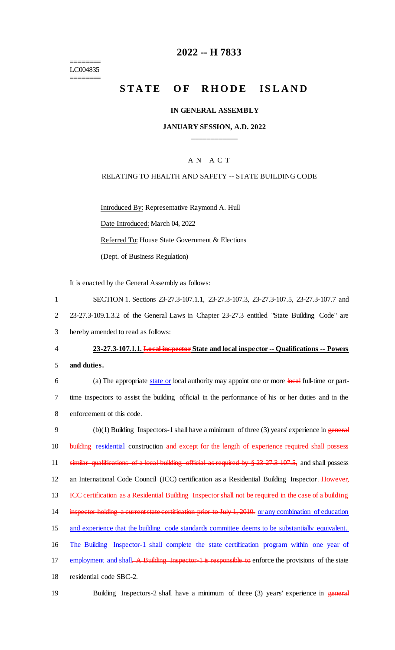======== LC004835 ========

## **2022 -- H 7833**

# STATE OF RHODE ISLAND

#### **IN GENERAL ASSEMBLY**

### **JANUARY SESSION, A.D. 2022 \_\_\_\_\_\_\_\_\_\_\_\_**

### A N A C T

### RELATING TO HEALTH AND SAFETY -- STATE BUILDING CODE

Introduced By: Representative Raymond A. Hull Date Introduced: March 04, 2022 Referred To: House State Government & Elections (Dept. of Business Regulation)

It is enacted by the General Assembly as follows:

- 1 SECTION 1. Sections 23-27.3-107.1.1, 23-27.3-107.3, 23-27.3-107.5, 23-27.3-107.7 and 2 23-27.3-109.1.3.2 of the General Laws in Chapter 23-27.3 entitled "State Building Code" are
- 3 hereby amended to read as follows:

4 **23-27.3-107.1.1. Local inspector State and local inspector -- Qualifications -- Powers** 

5 **and duties.**

6 (a) The appropriate state or local authority may appoint one or more local full-time or part-7 time inspectors to assist the building official in the performance of his or her duties and in the 8 enforcement of this code.

9 (b)(1) Building Inspectors-1 shall have a minimum of three (3) years' experience in general 10 building residential construction and except for the length of experience required shall possess 11 similar qualifications of a local building official as required by § 23-27.3-107.5, and shall possess 12 an International Code Council (ICC) certification as a Residential Building Inspector. However, 13 ICC certification as a Residential Building Inspector shall not be required in the case of a building 14 inspector holding a current state certification prior to July 1, 2010. or any combination of education 15 and experience that the building code standards committee deems to be substantially equivalent. 16 The Building Inspector-1 shall complete the state certification program within one year of 17 employment and shall. A Building Inspector 1 is responsible to enforce the provisions of the state 18 residential code SBC-2.

19 Building Inspectors-2 shall have a minimum of three (3) years' experience in general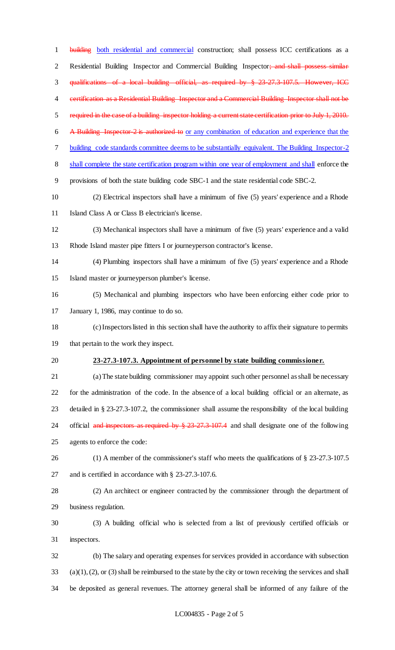1 building both residential and commercial construction; shall possess ICC certifications as a 2 Residential Building Inspector and Commercial Building Inspector; and shall possess similar qualifications of a local building official, as required by § 23-27.3-107.5. However, ICC 4 certification as a Residential Building Inspector and a Commercial Building Inspector shall not be required in the case of a building inspector holding a current state certification prior to July 1, 2010. A Building Inspector-2 is authorized to or any combination of education and experience that the building code standards committee deems to be substantially equivalent. The Building Inspector-2 shall complete the state certification program within one year of employment and shall enforce the provisions of both the state building code SBC-1 and the state residential code SBC-2. (2) Electrical inspectors shall have a minimum of five (5) years' experience and a Rhode Island Class A or Class B electrician's license. (3) Mechanical inspectors shall have a minimum of five (5) years' experience and a valid Rhode Island master pipe fitters I or journeyperson contractor's license. (4) Plumbing inspectors shall have a minimum of five (5) years' experience and a Rhode Island master or journeyperson plumber's license. (5) Mechanical and plumbing inspectors who have been enforcing either code prior to 17 January 1, 1986, may continue to do so. (c) Inspectors listed in this section shall have the authority to affix their signature to permits that pertain to the work they inspect. **23-27.3-107.3. Appointment of personnel by state building commissioner.** (a) The state building commissioner may appoint such other personnel as shall be necessary for the administration of the code. In the absence of a local building official or an alternate, as detailed in § 23-27.3-107.2, the commissioner shall assume the responsibility of the local building 24 official and inspectors as required by § 23-27.3-107.4 and shall designate one of the following agents to enforce the code: (1) A member of the commissioner's staff who meets the qualifications of § 23-27.3-107.5 and is certified in accordance with § 23-27.3-107.6. (2) An architect or engineer contracted by the commissioner through the department of business regulation. (3) A building official who is selected from a list of previously certified officials or inspectors. (b) The salary and operating expenses for services provided in accordance with subsection (a)(1), (2), or (3) shall be reimbursed to the state by the city or town receiving the services and shall be deposited as general revenues. The attorney general shall be informed of any failure of the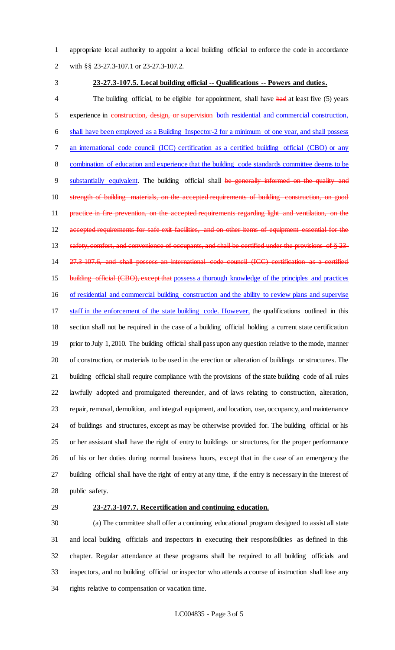appropriate local authority to appoint a local building official to enforce the code in accordance

with §§ 23-27.3-107.1 or 23-27.3-107.2.

#### **23-27.3-107.5. Local building official -- Qualifications -- Powers and duties.**

4 The building official, to be eligible for appointment, shall have had at least five (5) years 5 experience in construction, design, or supervision both residential and commercial construction, shall have been employed as a Building Inspector-2 for a minimum of one year, and shall possess an international code council (ICC) certification as a certified building official (CBO) or any combination of education and experience that the building code standards committee deems to be 9 substantially equivalent. The building official shall be generally informed on the quality and 10 strength of building materials, on the accepted requirements of building construction, on good 11 practice in fire prevention, on the accepted requirements regarding light and ventilation, on the 12 accepted requirements for safe exit facilities, and on other items of equipment essential for the 13 safety, comfort, and convenience of occupants, and shall be certified under the provisions of § 23- 27.3-107.6, and shall possess an international code council (ICC) certification as a certified 15 building official (CBO), except that possess a thorough knowledge of the principles and practices of residential and commercial building construction and the ability to review plans and supervise staff in the enforcement of the state building code. However, the qualifications outlined in this section shall not be required in the case of a building official holding a current state certification prior to July 1, 2010. The building official shall pass upon any question relative to the mode, manner of construction, or materials to be used in the erection or alteration of buildings or structures. The building official shall require compliance with the provisions of the state building code of all rules lawfully adopted and promulgated thereunder, and of laws relating to construction, alteration, repair, removal, demolition, and integral equipment, and location, use, occupancy, and maintenance of buildings and structures, except as may be otherwise provided for. The building official or his or her assistant shall have the right of entry to buildings or structures, for the proper performance of his or her duties during normal business hours, except that in the case of an emergency the building official shall have the right of entry at any time, if the entry is necessary in the interest of public safety.

#### **23-27.3-107.7. Recertification and continuing education.**

 (a) The committee shall offer a continuing educational program designed to assist all state and local building officials and inspectors in executing their responsibilities as defined in this chapter. Regular attendance at these programs shall be required to all building officials and inspectors, and no building official or inspector who attends a course of instruction shall lose any rights relative to compensation or vacation time.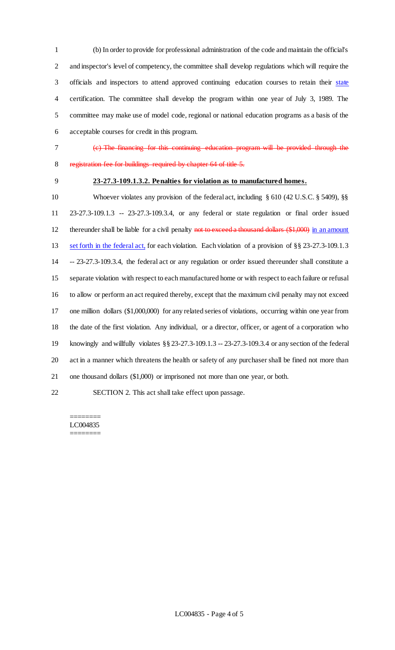(b) In order to provide for professional administration of the code and maintain the official's and inspector's level of competency, the committee shall develop regulations which will require the 3 officials and inspectors to attend approved continuing education courses to retain their state certification. The committee shall develop the program within one year of July 3, 1989. The committee may make use of model code, regional or national education programs as a basis of the acceptable courses for credit in this program.

(c) The financing for this continuing education program will be provided through the

registration fee for buildings required by chapter 64 of title 5.

# **23-27.3-109.1.3.2. Penalties for violation as to manufactured homes.**

10 Whoever violates any provision of the federal act, including § 610 (42 U.S.C. § 5409), §§ 23-27.3-109.1.3 -- 23-27.3-109.3.4, or any federal or state regulation or final order issued 12 thereunder shall be liable for a civil penalty not to exceed a thousand dollars (\$1,000) in an amount set forth in the federal act, for each violation. Each violation of a provision of §§ 23-27.3-109.1.3 -- 23-27.3-109.3.4, the federal act or any regulation or order issued thereunder shall constitute a separate violation with respect to each manufactured home or with respect to each failure or refusal to allow or perform an act required thereby, except that the maximum civil penalty may not exceed one million dollars (\$1,000,000) for any related series of violations, occurring within one year from the date of the first violation. Any individual, or a director, officer, or agent of a corporation who knowingly and willfully violates §§ 23-27.3-109.1.3 -- 23-27.3-109.3.4 or any section of the federal act in a manner which threatens the health or safety of any purchaser shall be fined not more than one thousand dollars (\$1,000) or imprisoned not more than one year, or both. SECTION 2. This act shall take effect upon passage.

#### ======== LC004835 ========

LC004835 - Page 4 of 5